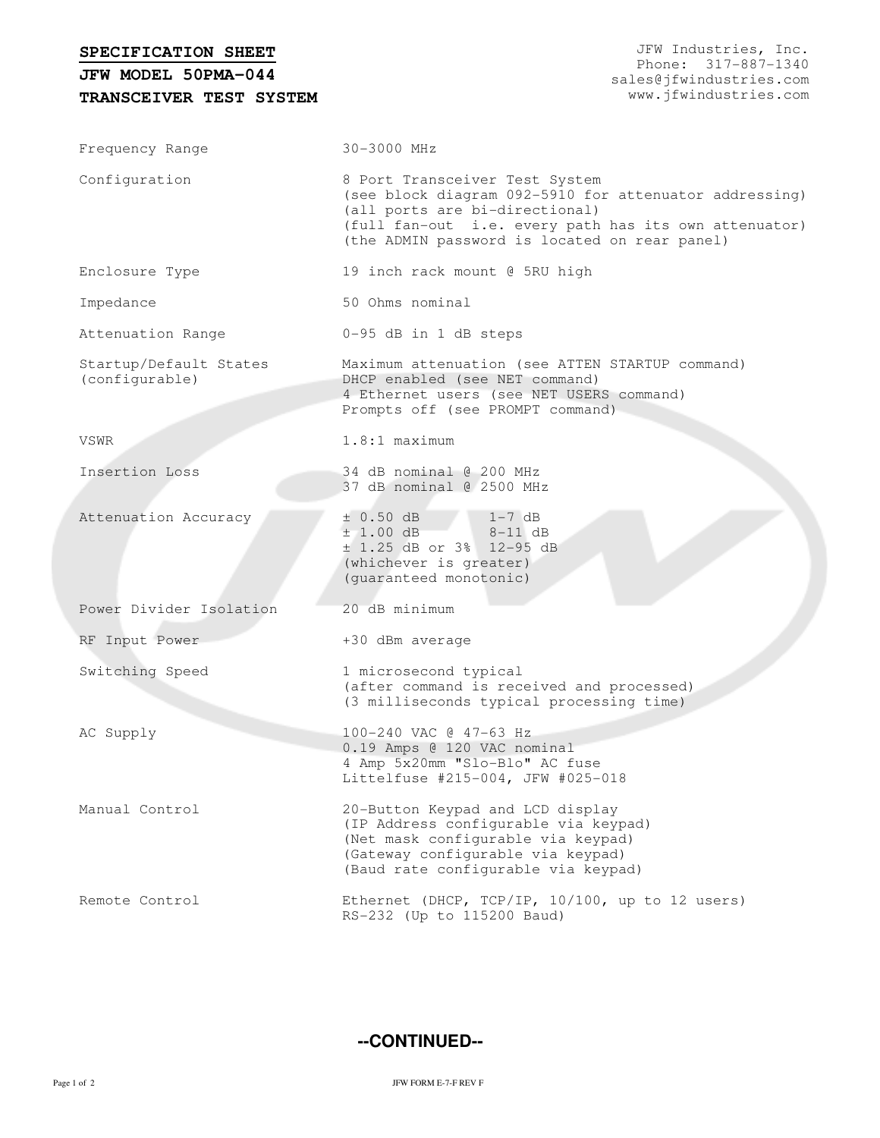| SPECIFICATION SHEET<br>JFW MODEL 50PMA-044<br>TRANSCEIVER TEST SYSTEM | JFW Industries, Inc.<br>Phone: 317-887-1340<br>sales@jfwindustries.com<br>www.jfwindustries.com                                                                                                                                      |  |  |  |  |  |
|-----------------------------------------------------------------------|--------------------------------------------------------------------------------------------------------------------------------------------------------------------------------------------------------------------------------------|--|--|--|--|--|
| Frequency Range                                                       | 30-3000 MHz                                                                                                                                                                                                                          |  |  |  |  |  |
| Configuration                                                         | 8 Port Transceiver Test System<br>(see block diagram 092-5910 for attenuator addressing)<br>(all ports are bi-directional)<br>(full fan-out i.e. every path has its own attenuator)<br>(the ADMIN password is located on rear panel) |  |  |  |  |  |
| Enclosure Type                                                        | 19 inch rack mount @ 5RU high                                                                                                                                                                                                        |  |  |  |  |  |
| Impedance                                                             | 50 Ohms nominal                                                                                                                                                                                                                      |  |  |  |  |  |
| Attenuation Range                                                     | 0-95 dB in 1 dB steps                                                                                                                                                                                                                |  |  |  |  |  |
| Startup/Default States<br>(configurable)                              | Maximum attenuation (see ATTEN STARTUP command)<br>DHCP enabled (see NET command)<br>4 Ethernet users (see NET USERS command)<br>Prompts off (see PROMPT command)                                                                    |  |  |  |  |  |
| VSWR                                                                  | $1.8:1$ maximum                                                                                                                                                                                                                      |  |  |  |  |  |
| Insertion Loss                                                        | 34 dB nominal @ 200 MHz<br>37 dB nominal @ 2500 MHz                                                                                                                                                                                  |  |  |  |  |  |
| Attenuation Accuracy                                                  | ± 0.50 dB<br>$1-7$ dB<br>±1.00 dB<br>$8-11$ dB<br>± 1.25 dB or 3% 12-95 dB<br>(whichever is greater)<br>(guaranteed monotonic)                                                                                                       |  |  |  |  |  |
| Power Divider Isolation                                               | 20 dB minimum                                                                                                                                                                                                                        |  |  |  |  |  |
| RF Input Power                                                        | +30 dBm average                                                                                                                                                                                                                      |  |  |  |  |  |
| Switching Speed                                                       | 1 microsecond typical<br>(after command is received and processed)<br>(3 milliseconds typical processing time)                                                                                                                       |  |  |  |  |  |
| AC Supply                                                             | 100-240 VAC @ 47-63 Hz<br>0.19 Amps @ 120 VAC nominal<br>4 Amp 5x20mm "Slo-Blo" AC fuse<br>Littelfuse #215-004, JFW #025-018                                                                                                         |  |  |  |  |  |
| Manual Control                                                        | 20-Button Keypad and LCD display<br>(IP Address configurable via keypad)<br>(Net mask configurable via keypad)<br>(Gateway configurable via keypad)<br>(Baud rate configurable via keypad)                                           |  |  |  |  |  |
| Remote Control                                                        | Ethernet (DHCP, TCP/IP, 10/100, up to 12 users)<br>RS-232 (Up to 115200 Baud)                                                                                                                                                        |  |  |  |  |  |

**--CONTINUED--**